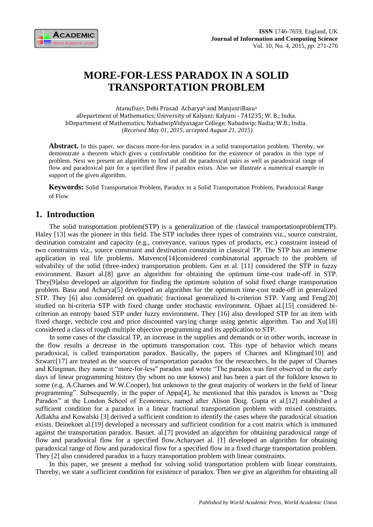

# **MORE-FOR-LESS PARADOX IN A SOLID TRANSPORTATION PROBLEM**

AtanuDasª, Debi Prasad Acharyaʰ and ManjusriBasuª aDepartment of Mathematics; University of Kalyani; Kalyani - 741235; W. B.; India. bDepartment of Mathematics; NabadwipVidyasagar College; Nabadwip; Nadia; W.B.; India. (*Received May 01, 2015, accepted August 21, 2015)*

Abstract. In this paper, we discuss more-for-less paradox in a solid transportation problem. Thereby, we demonstrate a theorem which gives a comfortable condition for the existence of paradox in this type of problem. Next we present an algorithm to find out all the paradoxical pairs as well as paradoxical range of flow and paradoxical pair for a specified flow if paradox exists. Also we illustrate a numerical example in support of the given algorithm.

**Keywords:** Solid Transportation Problem, Paradox in a Solid Transportation Problem, Paradoxical Range of Flow

## **1. Introduction**

The solid transportation problem(STP) is a generalization of the classical transportationproblem(TP). Haley [13] was the pioneer in this field. The STP includes three types of constraints viz., source constraint, destination constraint and capacity (e.g., conveyance, various types of products, etc.) constraint instead of two constraints viz., source constraint and destination constraint in classical TP. The STP has an immense application in real life problems. Matvenco[14]considered combinatorial approach to the problem of solvability of the solid (three-index) transportation problem. Gen et al. [11] considered the STP in fuzzy environment. Basuet al.[8] gave an algorithm for obtaining the optimum time-cost trade-off in STP. They[9]also developed an algorithm for finding the optimum solution of solid fixed charge transportation problem. Basu and Acharya[5] developed an algorithm for the optimum time-cost trade-off in generalized STP. They [6] also considered on quadratic fractional generalized bi-criterion STP. Yang and Feng[20] studied on bi-criteria STP with fixed charge under stochastic environment. Ojhaet al.[15] considered bicriterion an entropy based STP under fuzzy environment. They [16] also developed STP for an item with fixed charge, vechicle cost and price discounted varying charge using genetic algorithm. Tao and Xu[18] considered a class of rough multiple objective programming and its application to STP.

In some cases of the classical TP, an increase in the supplies and demands or in other words, increase in the flow results a decrease in the optimum transportation cost. This type of behavior which means paradoxical, is called transportation paradox. Basically, the papers of Charnes and Klingman[10] and Szwarc<sup>[17]</sup> are treated as the sources of transportation paradox for the researchers. In the paper of Charnes and Klingman, they name it "more-for-less'' paradox and wrote "The paradox was first observed in the early days of linear programming history (by whom no one knows) and has been a part of the folklore known to some (e.g. A.Charnes and W.W.Cooper), but unknown to the great majority of workers in the field of linear programming". Subsequently, in the paper of Appa[4], he mentioned that this paradox is known as "Doig Paradox" at the London School of Economics, named after Alison Doig. Gupta et al.[12] established a sufficient condition for a paradox in a linear fractional transportation problem with mixed constraints. Adlakha and Kowalski [3] derived a sufficient condition to identify the cases where the paradoxical situation exists. Deinekoet al.[19] developed a necessary and sufficient condition for a cost matrix which is immuned against the transportation paradox. Basuet. al.[7] provided an algorithm for obtaining paradoxical range of flow and paradoxical flow for a specified flow.Acharyaet al. [1] developed an algorithm for obtaining paradoxical range of flow and paradoxical flow for a specified flow in a fixed charge transportation problem. They [2] also considered paradox in a fuzzy transportation problem with linear constraints.

In this paper, we present a method for solving solid transportation problem with linear constraints. Thereby, we state a sufficient condition for existence of paradox. Then we give an algorithm for obtaining all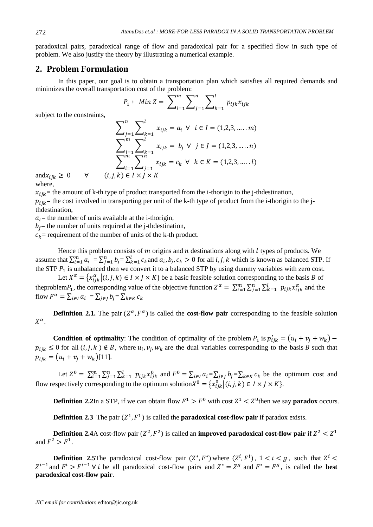paradoxical pairs, paradoxical range of flow and paradoxical pair for a specified flow in such type of problem. We also justify the theory by illustrating a numerical example.

## **2. Problem Formulation**

In this paper, our goal is to obtain a transportation plan which satisfies all required demands and minimizes the overall transportation cost of the problem:

$$
P_1: \quad Min \, Z = \, \sum\nolimits_{i=1}^m \sum\nolimits_{j=1}^n \sum\nolimits_{k=1}^l p_{ijk} x_{ijk}
$$

subject to the constraints,

$$
\sum_{j=1}^{n} \sum_{k=1}^{l} x_{ijk} = a_i \ \forall \ \ i \in I = (1, 2, 3, \dots, m)
$$
\n
$$
\sum_{i=1}^{m} \sum_{k=1}^{l} x_{ijk} = b_j \ \forall \ \ j \in J = (1, 2, 3, \dots, n)
$$
\n
$$
\sum_{i=1}^{m} \sum_{j=1}^{n} x_{ijk} = c_k \ \forall \ \ k \in K = (1, 2, 3, \dots, l)
$$
\n
$$
k) \in I \times I \times K
$$

and  $x_{ijk} \geq 0$   $\forall$   $(i, j, k)$ where,

 $x_{ijk}$  = the amount of k-th type of product transported from the i-thorigin to the j-thdestination,

 $p_{iik}$  = the cost involved in transporting per unit of the k-th type of product from the i-thorigin to the jthdestination,

 $a_i$  = the number of units available at the i-thorigin,

 $b_i$  = the number of units required at the j-thdestination,

 $c_k$  = requirement of the number of units of the k-th product.

Hence this problem consists of  $m$  origins and  $n$  destinations along with  $l$  types of products. We assume that  $\sum_{i=1}^{m} a_i = \sum_{j=1}^{n} b_j = \sum_{k=1}^{l} c_k$  and  $a_i, b_j, c_k > 0$  for all i, j, k which is known as balanced STP. If the STP  $P_1$  is unbalanced then we convert it to a balanced STP by using dummy variables with zero cost.

Let  $X^{\alpha} = \{x_{ijk}^{\alpha} | (i, j, k) \in I \times J \times K \}$  be a basic feasible solution corresponding to the basis B of theproblem  $P_1$ , the corresponding value of the objective function  $Z^{\alpha} = \sum_{i=1}^{m} \sum_{j=1}^{n} \sum_{k=1}^{l} p_{ijk} x_{ijk}^{\alpha}$  and the flow  $F^{\alpha} = \sum_{i \in I} a_i = \sum_{j \in J} b_j = \sum_k$ 

**Definition 2.1.** The pair  $(Z^{\alpha}, F^{\alpha})$  is called the **cost-flow pair** corresponding to the feasible solution  $X^{\alpha}$ .

**Condition of optimality**: The condition of optimality of the problem  $P_1$  is  $p'_{ijk} = (u_i + v_j + w_k)$  $p_{ijk} \leq 0$  for all  $(i, j, k) \notin B$ , where  $u_i, v_j, w_k$  are the dual variables corresponding to the basis B such that  $p_{ijk} = (u_i + v_j + w_k)[11].$ 

Let  $Z^0 = \sum_{i=1}^m \sum_{j=1}^n \sum_{k=1}^l p_{ijk} x_{ijk}^0$  and  $F^0 = \sum_{i \in I} a_i = \sum_{j \in J} b_j = \sum_{k \in K} c_k$  be the optimum cost and flow respectively corresponding to the optimum solution $X^0 = \{x_{i j k}^0 | (i, j, k) \in I \times J \times K\}$ .

**Definition 2.2In a STP, if we can obtain flow**  $F^1 > F^0$  **with cost**  $Z^1 < Z^0$  **then we say <b>paradox** occurs.

**Definition 2.3** The pair  $(Z^1, F^1)$  is called the **paradoxical cost-flow pair** if paradox exists.

**Definition 2.4**A cost-flow pair  $(Z^2, F^2)$  is called an **improved paradoxical cost-flow pair** if  $Z^2 < Z^1$ and  $F^2 > F^1$ .

**Definition 2.5**The paradoxical cost-flow pair  $(Z^*, F^*)$  where  $(Z^i, F^i)$ ,  $1 < i < g$ , such that  $Z^i$  $Z^{i-1}$  and  $F^i > F^{i-1}$   $\forall i$  be all paradoxical cost-flow pairs and  $Z^* = Z^g$  and  $F^* = F^g$ , is called the **best paradoxical cost-flow pair**.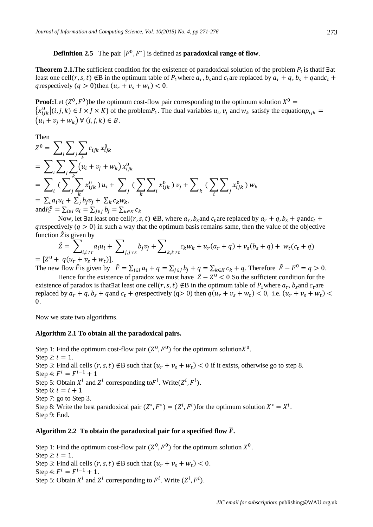**Definition 2.5** The pair  $[F^0, F^*]$  is defined as **paradoxical range of flow**.

**Theorem 2.1.** The sufficient condition for the existence of paradoxical solution of the problem  $P_1$  is thatif  $\exists$  at least one cell $(r, s, t) \notin B$  in the optimum table of  $P_1$ where  $a_r, b_s$ and  $c_t$ are replaced by  $a_r + q, b_s + q$ and $c$ q respectively  $(q > 0)$ then  $(u_r + v_s + w_t) < 0$ .

**Proof:**Let  $(Z^0, F^0)$  be the optimum cost-flow pair corresponding to the optimum solution  $X^0$  $\{x_{ijk}^0 | (i,j,k) \in I \times J \times K\}$  of the problem  $P_1$ . The dual variables  $u_i$ ,  $v_j$  and  $w_k$  satisfy the equation p  $(u_i + v_i + w_k) \forall (i, j, k) \in B.$ 

Then

$$
Z^{0} = \sum_{i} \sum_{j} \sum_{k} c_{ijk} x_{ijk}^{0}
$$
  
=  $\sum_{i} \sum_{j} \sum_{k} (u_{i} + v_{j} + w_{k}) x_{ijk}^{0}$   
=  $\sum_{i} \sum_{j} \sum_{k} x_{ijk}^{0} y_{ij} + \sum_{j} \sum_{k} \sum_{k} x_{ijk}^{0} y_{ij} + \sum_{k} \sum_{k} x_{ijk}^{0} y_{kj} + \sum_{k} \sum_{k} x_{ijk}^{0} y_{ik} y_{ik}$   
=  $\sum_{i} a_{i} u_{i} + \sum_{j} b_{j} v_{j} + \sum_{k} c_{k} w_{k}$ ,  
and  $F_{c}^{0} = \sum_{i \in I} a_{i} = \sum_{j \in J} b_{j} = \sum_{k \in K} c_{k}$ 

Now, let 3at least one cell $(r, s, t) \notin B$ , where  $a_r, b_s$  and  $c_t$  are replaced by  $a_r + q, b_s + q$  and c grespectively  $(q > 0)$  in such a way that the optimum basis remains same, then the value of the objective function  $\hat{Z}$  is given by

$$
\hat{Z} = \sum_{i,i \neq r} a_i u_i + \sum_{j,j \neq s} b_j v_j + \sum_{k,k \neq t} c_k w_k + u_r (a_r + q) + v_s (b_s + q) + w_t (c_t + q)
$$
  
=  $[Z^0 + q(u_r + v_s + w_t)],$ 

The new flow  $\hat{F}$  is given by  $\hat{F} = \sum_{i \in I} a_i + q = \sum_{j \in J} b_j + q = \sum_{k \in K} c_k + q$ . Therefore  $\hat{F} - F^0 = q > 0$ .

Hence for the existence of paradox we must have  $\hat{Z} - Z^0 < 0$ . So the sufficient condition for the existence of paradox is that Heast one cell $(r, s, t) \notin B$  in the optimum table of  $P_1$  where  $a_r$ ,  $b_s$  and  $c_t$  are replaced by  $a_r + q$ ,  $b_s + q$  and  $c_t + q$  respectively (q> 0) then  $q(u_r + v_s + w_t) < 0$ , i.e.  $(u_r + v_s + w_t)$  $\theta$ .

Now we state two algorithms.

#### **Algorithm 2.1 To obtain all the paradoxical pairs.**

Step 1: Find the optimum cost-flow pair  $(Z^0, F^0)$  for the optimum solution $X^0$ . Step 2:  $i = 1$ . Step 3: Find all cells  $(r, s, t) \notin B$  such that  $(u_r + v_s + w_t) < 0$  if it exists, otherwise go to step 8. Step 4:  $F^i = F^i$ Step 5: Obtain  $X^i$  and  $Z^i$  corresponding to  $F^i$ . Write  $(Z^i, F^i)$ . Step 6:  $i = i + 1$ Step 7: go to Step 3. Step 8: Write the best paradoxical pair  $(Z^*, F^*) = (Z^i, F^i)$  for the optimum solution  $X^* = X^i$ . Step 9: End.

#### Algorithm 2.2 To obtain the paradoxical pair for a specified flow  $\bar{F}$ .

Step 1: Find the optimum cost-flow pair  $(Z^0, F^0)$  for the optimum solution  $X^0$ . Step 2:  $i = 1$ . Step 3: Find all cells  $(r, s, t) \notin B$  such that  $(u_r + v_s + w_t) < 0$ . Step 4:  $F^i = F^{i-1} + 1$ . Step 5: Obtain  $X^i$  and  $Z^i$  corresponding to  $F^i$ . Write  $(Z^i, F^i)$ .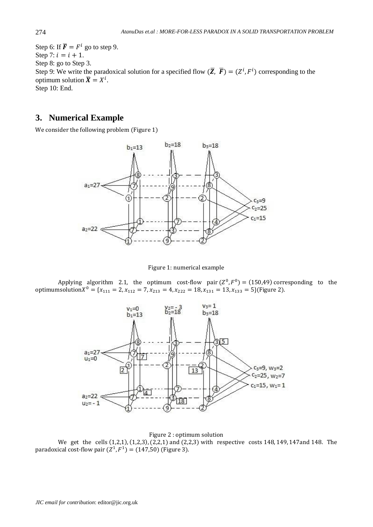Step 6: If  $\overline{F} = F^i$  go to step 9. Step 7:  $i = i + 1$ . Step 8: go to Step 3. Step 9: We write the paradoxical solution for a specified flow  $(\bar{Z}, \bar{F}) = (Z^i, F^i)$  corresponding to the optimum solution  $\overline{X} = X^i$ . Step 10: End.

## **3. Numerical Example**

We consider the following problem (Figure 1)



Figure 1: numerical example

Applying algorithm 2.1, the optimum cost-flow pair  $(Z^0, F^0) = (150,49)$  corresponding to the optimumsolution $X^0 = \{x_{111} = 2, x_{112} = 7, x_{213} = 4, x_{222} = 18, x_{131} = 13, x_{133} = 5\}$ (Figure 2).



#### Figure 2 : optimum solution

We get the cells  $(1,2,1)$ ,  $(1,2,3)$ ,  $(2,2,1)$  and  $(2,2,3)$  with respective costs 148, 149, 147 and 148. The paradoxical cost-flow pair  $(Z^1, F^1) = (147, 50)$  (Figure 3).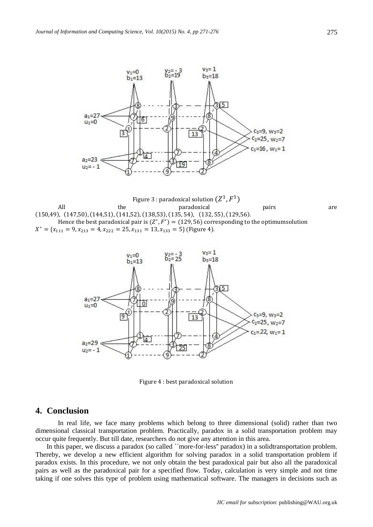





Figure 4 : best paradoxical solution

## **4. Conclusion**

In real life, we face many problems which belong to three dimensional (solid) rather than two dimensional classical transportation problem. Practically, paradox in a solid transportation problem may occur quite frequently. But till date, researchers do not give any attention in this area.

In this paper, we discuss a paradox (so called ``more-for-less'' paradox) in a solidtransportation problem. Thereby, we develop a new efficient algorithm for solving paradox in a solid transportation problem if paradox exists. In this procedure, we not only obtain the best paradoxical pair but also all the paradoxical pairs as well as the paradoxical pair for a specified flow. Today, calculation is very simple and not time taking if one solves this type of problem using mathematical software. The managers in decisions such as